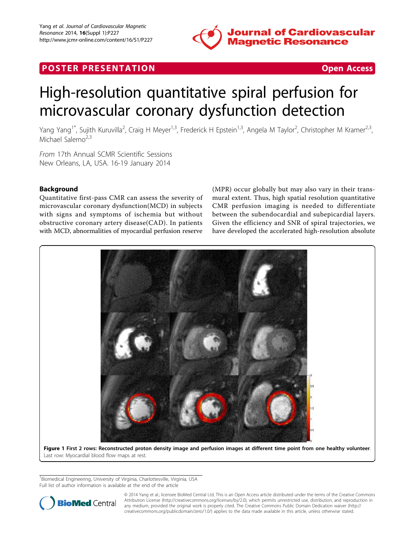

## <span id="page-0-0"></span>**POSTER PRESENTATION CONSUMING THE SECOND CONSUMING THE SECOND CONSUMING THE SECOND CONSUMING THE SECOND CONSUMING THE SECOND CONSUMING THE SECOND CONSUMING THE SECOND CONSUMING THE SECOND CONSUMING THE SECOND CONSUMING**



# High-resolution quantitative spiral perfusion for microvascular coronary dysfunction detection

Yang Yang<sup>1\*</sup>, Sujith Kuruvilla<sup>2</sup>, Craig H Meyer<sup>1,3</sup>, Frederick H Epstein<sup>1,3</sup>, Angela M Taylor<sup>2</sup>, Christopher M Kramer<sup>2,3</sup>, Michael Salerno<sup>2,3</sup>

From 17th Annual SCMR Scientific Sessions New Orleans, LA, USA. 16-19 January 2014

### Background

Quantitative first-pass CMR can assess the severity of microvascular coronary dysfunction(MCD) in subjects with signs and symptoms of ischemia but without obstructive coronary artery disease(CAD). In patients with MCD, abnormalities of myocardial perfusion reserve

(MPR) occur globally but may also vary in their transmural extent. Thus, high spatial resolution quantitative CMR perfusion imaging is needed to differentiate between the subendocardial and subepicardial layers. Given the efficiency and SNR of spiral trajectories, we have developed the accelerated high-resolution absolute



Last row: Myocardial blood flow maps at rest.

<sup>1</sup>Biomedical Engineering, University of Virginia, Charlottesville, Virginia, USA Full list of author information is available at the end of the article



© 2014 Yang et al.; licensee BioMed Central Ltd. This is an Open Access article distributed under the terms of the Creative Commons Attribution License [\(http://creativecommons.org/licenses/by/2.0](http://creativecommons.org/licenses/by/2.0)), which permits unrestricted use, distribution, and reproduction in any medium, provided the original work is properly cited. The Creative Commons Public Domain Dedication waiver [\(http://](http://creativecommons.org/publicdomain/zero/1.0/) [creativecommons.org/publicdomain/zero/1.0/](http://creativecommons.org/publicdomain/zero/1.0/)) applies to the data made available in this article, unless otherwise stated.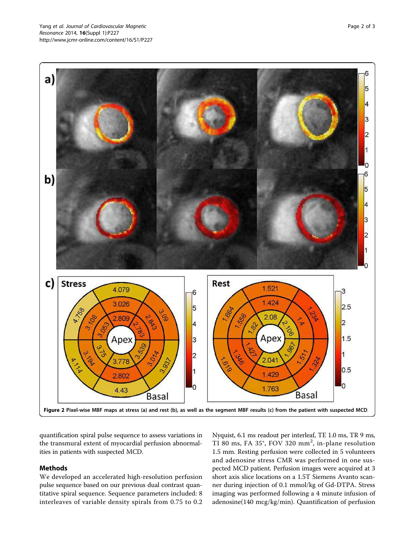<span id="page-1-0"></span>

quantification spiral pulse sequence to assess variations in the transmural extent of myocardial perfusion abnormalities in patients with suspected MCD.

#### Methods

We developed an accelerated high-resolution perfusion pulse sequence based on our previous dual contrast quantitative spiral sequence. Sequence parameters included: 8 interleaves of variable density spirals from 0.75 to 0.2 Nyquist, 6.1 ms readout per interleaf, TE 1.0 ms, TR 9 ms, TI 80 ms, FA 35°, FOV 320 mm<sup>2</sup>, in-plane resolution 1.5 mm. Resting perfusion were collected in 5 volunteers and adenosine stress CMR was performed in one suspected MCD patient. Perfusion images were acquired at 3 short axis slice locations on a 1.5T Siemens Avanto scanner during injection of 0.1 mmol/kg of Gd-DTPA. Stress imaging was performed following a 4 minute infusion of adenosine(140 mcg/kg/min). Quantification of perfusion